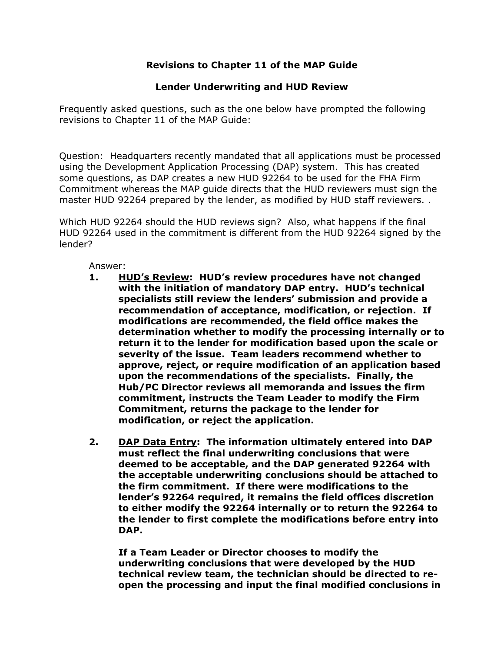## **Revisions to Chapter 11 of the MAP Guide**

## **Lender Underwriting and HUD Review**

Frequently asked questions, such as the one below have prompted the following revisions to Chapter 11 of the MAP Guide:

Question: Headquarters recently mandated that all applications must be processed using the Development Application Processing (DAP) system. This has created some questions, as DAP creates a new HUD 92264 to be used for the FHA Firm Commitment whereas the MAP guide directs that the HUD reviewers must sign the master HUD 92264 prepared by the lender, as modified by HUD staff reviewers. .

Which HUD 92264 should the HUD reviews sign? Also, what happens if the final HUD 92264 used in the commitment is different from the HUD 92264 signed by the lender?

Answer:

- **1. HUD's Review: HUD's review procedures have not changed with the initiation of mandatory DAP entry. HUD's technical specialists still review the lenders' submission and provide a recommendation of acceptance, modification, or rejection. If modifications are recommended, the field office makes the determination whether to modify the processing internally or to return it to the lender for modification based upon the scale or severity of the issue. Team leaders recommend whether to approve, reject, or require modification of an application based upon the recommendations of the specialists. Finally, the Hub/PC Director reviews all memoranda and issues the firm commitment, instructs the Team Leader to modify the Firm Commitment, returns the package to the lender for modification, or reject the application.**
- **2. DAP Data Entry: The information ultimately entered into DAP must reflect the final underwriting conclusions that were deemed to be acceptable, and the DAP generated 92264 with the acceptable underwriting conclusions should be attached to the firm commitment. If there were modifications to the lender's 92264 required, it remains the field offices discretion to either modify the 92264 internally or to return the 92264 to the lender to first complete the modifications before entry into DAP.**

**If a Team Leader or Director chooses to modify the underwriting conclusions that were developed by the HUD technical review team, the technician should be directed to reopen the processing and input the final modified conclusions in**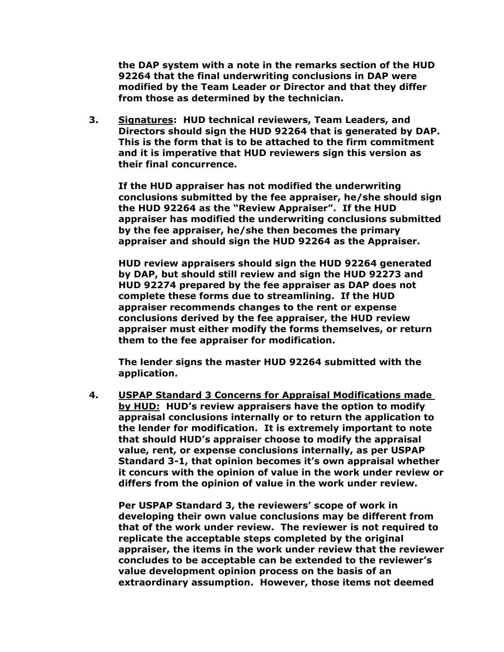**the DAP system with a note in the remarks section of the HUD 92264 that the final underwriting conclusions in DAP were modified by the Team Leader or Director and that they differ from those as determined by the technician.** 

**3. Signatures: HUD technical reviewers, Team Leaders, and Directors should sign the HUD 92264 that is generated by DAP. This is the form that is to be attached to the firm commitment and it is imperative that HUD reviewers sign this version as their final concurrence.** 

**If the HUD appraiser has not modified the underwriting conclusions submitted by the fee appraiser, he/she should sign the HUD 92264 as the "Review Appraiser". If the HUD appraiser has modified the underwriting conclusions submitted by the fee appraiser, he/she then becomes the primary appraiser and should sign the HUD 92264 as the Appraiser.** 

**HUD review appraisers should sign the HUD 92264 generated by DAP, but should still review and sign the HUD 92273 and HUD 92274 prepared by the fee appraiser as DAP does not complete these forms due to streamlining. If the HUD appraiser recommends changes to the rent or expense conclusions derived by the fee appraiser, the HUD review appraiser must either modify the forms themselves, or return them to the fee appraiser for modification.** 

**The lender signs the master HUD 92264 submitted with the application.** 

**4. USPAP Standard 3 Concerns for Appraisal Modifications made by HUD: HUD's review appraisers have the option to modify appraisal conclusions internally or to return the application to the lender for modification. It is extremely important to note that should HUD's appraiser choose to modify the appraisal value, rent, or expense conclusions internally, as per USPAP Standard 3-1, that opinion becomes it's own appraisal whether it concurs with the opinion of value in the work under review or differs from the opinion of value in the work under review.** 

**Per USPAP Standard 3, the reviewers' scope of work in developing their own value conclusions may be different from that of the work under review. The reviewer is not required to replicate the acceptable steps completed by the original appraiser, the items in the work under review that the reviewer concludes to be acceptable can be extended to the reviewer's value development opinion process on the basis of an extraordinary assumption. However, those items not deemed**